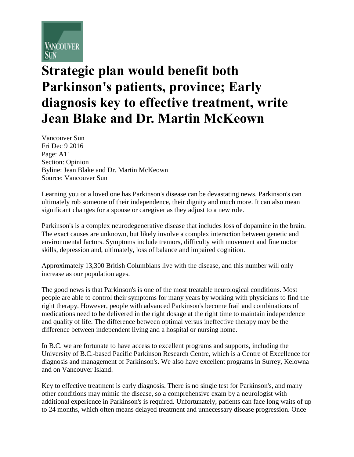

## **Strategic plan would benefit both Parkinson's patients, province; Early diagnosis key to effective treatment, write Jean Blake and Dr. Martin McKeown**

Vancouver Sun Fri Dec 9 2016 Page: A11 Section: Opinion Byline: Jean Blake and Dr. Martin McKeown Source: Vancouver Sun

Learning you or a loved one has Parkinson's disease can be devastating news. Parkinson's can ultimately rob someone of their independence, their dignity and much more. It can also mean significant changes for a spouse or caregiver as they adjust to a new role.

Parkinson's is a complex neurodegenerative disease that includes loss of dopamine in the brain. The exact causes are unknown, but likely involve a complex interaction between genetic and environmental factors. Symptoms include tremors, difficulty with movement and fine motor skills, depression and, ultimately, loss of balance and impaired cognition.

Approximately 13,300 British Columbians live with the disease, and this number will only increase as our population ages.

The good news is that Parkinson's is one of the most treatable neurological conditions. Most people are able to control their symptoms for many years by working with physicians to find the right therapy. However, people with advanced Parkinson's become frail and combinations of medications need to be delivered in the right dosage at the right time to maintain independence and quality of life. The difference between optimal versus ineffective therapy may be the difference between independent living and a hospital or nursing home.

In B.C. we are fortunate to have access to excellent programs and supports, including the University of B.C.-based Pacific Parkinson Research Centre, which is a Centre of Excellence for diagnosis and management of Parkinson's. We also have excellent programs in Surrey, Kelowna and on Vancouver Island.

Key to effective treatment is early diagnosis. There is no single test for Parkinson's, and many other conditions may mimic the disease, so a comprehensive exam by a neurologist with additional experience in Parkinson's is required. Unfortunately, patients can face long waits of up to 24 months, which often means delayed treatment and unnecessary disease progression. Once